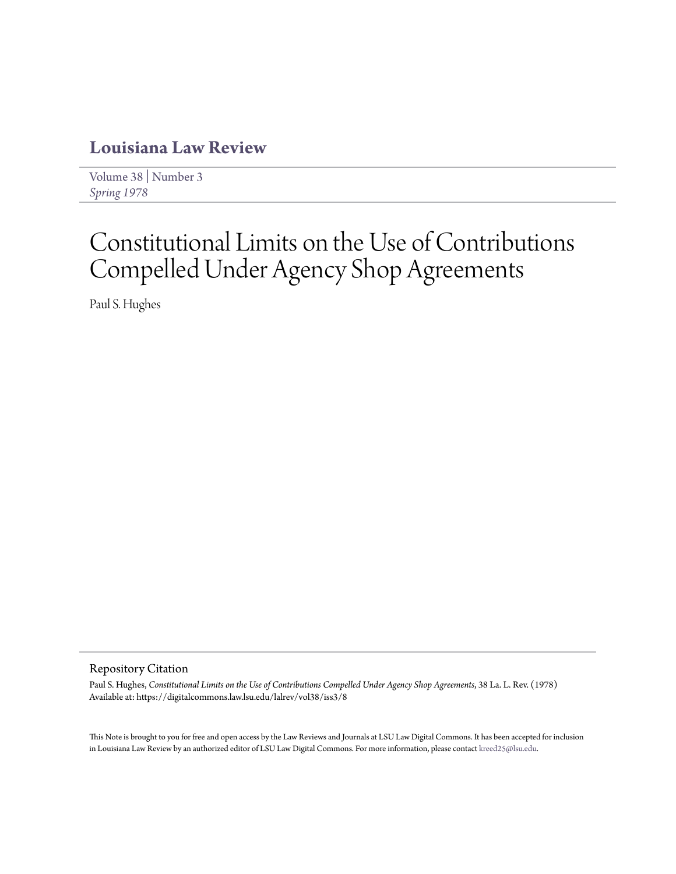# **[Louisiana Law Review](https://digitalcommons.law.lsu.edu/lalrev)**

[Volume 38](https://digitalcommons.law.lsu.edu/lalrev/vol38) | [Number 3](https://digitalcommons.law.lsu.edu/lalrev/vol38/iss3) *[Spring 1978](https://digitalcommons.law.lsu.edu/lalrev/vol38/iss3)*

# Constitutional Limits on the Use of Contributions Compelled Under Agency Shop Agreements

Paul S. Hughes

## Repository Citation

Paul S. Hughes, *Constitutional Limits on the Use of Contributions Compelled Under Agency Shop Agreements*, 38 La. L. Rev. (1978) Available at: https://digitalcommons.law.lsu.edu/lalrev/vol38/iss3/8

This Note is brought to you for free and open access by the Law Reviews and Journals at LSU Law Digital Commons. It has been accepted for inclusion in Louisiana Law Review by an authorized editor of LSU Law Digital Commons. For more information, please contact [kreed25@lsu.edu](mailto:kreed25@lsu.edu).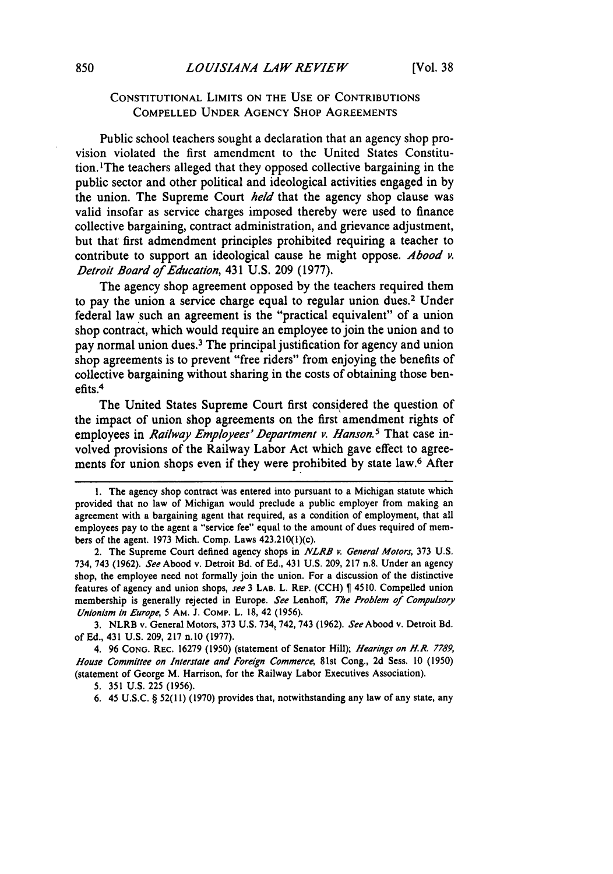## **CONSTITUTIONAL LIMITS ON THE USE OF CONTRIBUTIONS COMPELLED UNDER AGENCY SHOP AGREEMENTS**

Public school teachers sought a declaration that an agency shop provision violated the first amendment to the United States Constitution. 'The teachers alleged that they opposed collective bargaining in the public sector and other political and ideological activities engaged in **by** the union. The Supreme Court *held* that the agency shop clause was valid insofar as service charges imposed thereby were used to finance collective bargaining, contract administration, and grievance adjustment, but that first admendment principles prohibited requiring a teacher to contribute to support an ideological cause he might oppose. *Abood v. Detroit Board of Education,* 431 **U.S. 209 (1977).**

The agency shop agreement opposed **by** the teachers required them to pay the union a service charge equal to regular union dues.<sup>2</sup> Under federal law such an agreement is the "practical equivalent" of a union shop contract, which would require an employee to join the union and to pay normal union dues.3 The principal justification for agency and union shop agreements is to prevent "free riders" from enjoying the benefits of collective bargaining without sharing in the costs of obtaining those benefits.<sup>4</sup>

The United States Supreme Court first considered the question of the impact of union shop agreements on the first amendment rights of employees in *Railway Employees' Department v. Hanson.5* That case involved provisions of the Railway Labor Act which gave effect to agreements for union shops even if they were prohibited **by** state law.6 After

**3.** NLRB v. General Motors, **373 U.S.** 734, 742, 743 **(1962).** *See* **Abood v. Detroit Bd.** of **Ed.,** 431 **U.S. 209, 217 n.10 (1977).**

4. **96 CONG.** REC. **16279 (1950)** (statement of Senator Hill); *Hearings on H.R. 7789, House Committee on Interstate and Foreign Commerce,* 81st Cong., **2d** Sess. **10 (1950)** (statement of George M. Harrison, for the Railway Labor Executives Association).

**6.** 45 **U.S.C.** § 52(11) **(1970)** provides that, notwithstanding any law of any state, any

**<sup>1.</sup>** The agency shop contract was entered into pursuant to a Michigan statute which provided that no law of Michigan would preclude a public employer from making an agreement with a bargaining agent that required, as a condition of employment, that all employees pay to the agent a "service fee" equal to the amount of dues required of members of the agent. **1973** Mich. Comp. Laws 423.210(i)(c).

<sup>2.</sup> The Supreme Court defined agency shops in **NLRB** *v.* **General** *Motors,* **373 U.S.** 734, 743 **(1962).** *See* Abood v. Detroit Bd. of **Ed.,** 431 **U.S. 209, 217** n.8. Under an agency shop, the employee need not formally join the union. For a discussion of the distinctive features of agency and union shops, **see 3 LAB. L. REP. (CCH) \$ 4510.** Compelled union membership is generally rejected in Europe. See Lenhoff, The Problem of Compulsory Unionism in *Europe,* 5 **AM. J. COMP. L. 18,** 42 **(1956).**

<sup>5.</sup> **351 U.S.** 225 **(1956).**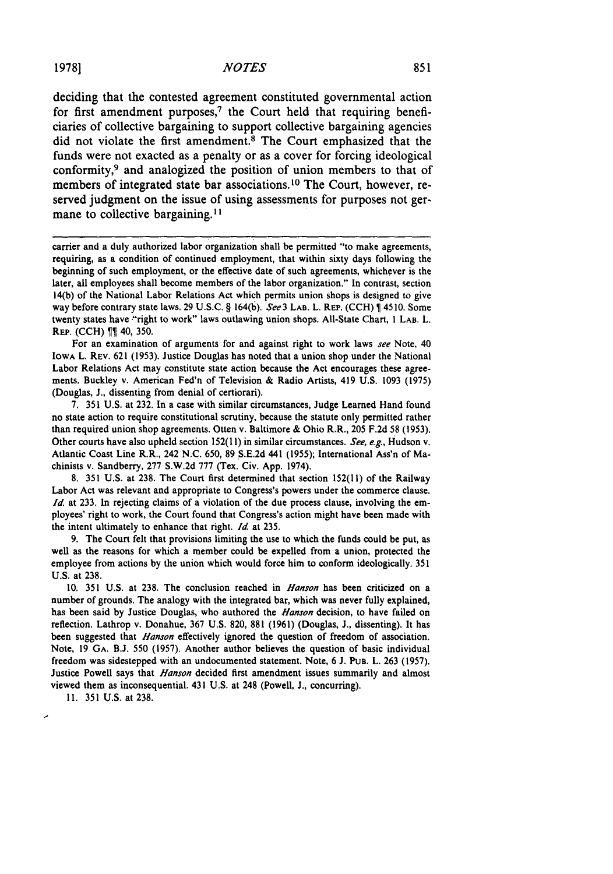deciding that the contested agreement constituted governmental action for first amendment purposes,<sup>7</sup> the Court held that requiring beneficiaries of collective bargaining to support collective bargaining agencies did not violate the first amendment.<sup>8</sup> The Court emphasized that the funds were not exacted as a penalty or as a cover for forcing ideological conformity,<sup>9</sup> and analogized the position of union members to that of members of integrated state bar associations.10 The Court, however, reserved judgment on the issue of using assessments for purposes not germane to collective bargaining.<sup>11</sup>

carrier and a duly authorized labor organization shall be permitted "to make agreements, requiring, as a condition of continued employment, that within sixty days following the beginning of such employment, or the effective date of such agreements, whichever is the later, all employees shall become members of the labor organization." In contrast, section 14(b) of the National Labor Relations Act which permits union shops is designed to give way before contrary state laws. **29 U.S.C.** § 164(b). *See3* **LAB.** L. REP. **(CCH) 4510.** Some twenty states have "right to work" laws outlawing union shops. All-State Chart, **I LAB.** L. REP. **(CCH)** 40, **350.**

For an examination of arguments for and against right to work laws *see* Note, 40 **IOWA L. REV. 621 (1953).** Justice Douglas has noted that a union shop under the National Labor Relations Act may constitute state action because the Act encourages these agreements. Buckley v. American Fed'n of Television **&** Radio Artists, 419 **U.S. 1093 (1975)** (Douglas, **J.,** dissenting from denial of certiorari).

**7. 351 U.S.** at **232.** In a case with similar circumstances, Judge Learned Hand found no state action to require constitutional scrutiny, because the statute only permitted rather than required union shop agreements. Otten v. Baltimore **&** Ohio R.R., **205 F.2d 58 (1953).** Other courts have also upheld section **152(1!)** in similar circumstances. *See, e.g.,* Hudson v. Atlantic Coast Line R.R., 242 **N.C. 650, 89 S.E.2d** 441 **(1955);** International Ass'n of Machinists v. Sandberry, **277 S.W.2d 777** (Tex. Civ. **App.** 1974).

**8. 351 U.S.** at **238.** The Court first determined that section **152(11)** of the Railway Labor Act was relevant and appropriate to Congress's powers under the commerce clause. *Id.* at **233.** In rejecting claims of a violation of the due process clause, involving the employees' right to work, the Court found that Congress's action might have been made with the intent ultimately to enhance that right. *Id.* at **235.**

**9.** The Court felt that provisions limiting the use to which the funds could be put, as well as the reasons for which a member could be expelled from a union, protected the employee from actions **by** the union which would force him to conform ideologically. **351 U.S.** at **238.**

**10. 351 U.S.** at **238.** The conclusion reached in *Hanson* has been criticized on a number of grounds. The analogy with the integrated bar, which was never fully explained, has been said **by** Justice Douglas, who authored the *Hanson* decision, to have failed on reflection. Lathrop v. Donahue, **367 U.S. 820, 881 (1961)** (Douglas, **J.,** dissenting). It has been suggested that *Hanson* effectively ignored the question of freedom of association. Note, **19 GA. B.J. 550 (1957).** Another author believes the question of basic individual freedom was sidestepped with an undocumented statement. Note, **6 J. PUB.** L. **263 (1957).** Justice Powell says that *Hanson* decided first amendment issues summarily and almost viewed them as inconsequential. 431 **U.S.** at 248 (Powell, **J.,** concurring).

**11. 351 U.S.** at **238.**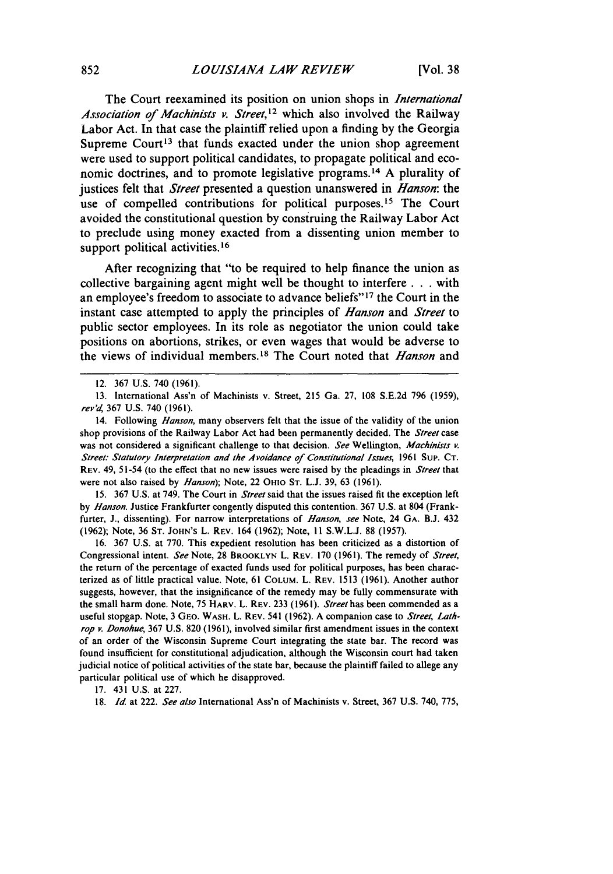The Court reexamined its position on union shops in *International* Association *of Machinists v. Street,12* which also involved the Railway Labor Act. In that case the plaintiff relied upon a finding by the Georgia Supreme Court<sup>13</sup> that funds exacted under the union shop agreement were used to support political candidates, to propagate political and economic doctrines, and to promote legislative programs. 14 A plurality of justices felt that *Street* presented a question unanswered in *Hanson:* the use of compelled contributions for political purposes.<sup>15</sup> The Court avoided the constitutional question by construing the Railway Labor Act to preclude using money exacted from a dissenting union member to support political activities.<sup>16</sup>

After recognizing that "to be required to help finance the union as collective bargaining agent might well be thought to interfere **. . .** with an employee's freedom to associate to advance beliefs"<sup>17</sup> the Court in the instant case attempted to apply the principles of *Hanson* and *Street* to public sector employees. In its role as negotiator the union could take positions on abortions, strikes, or even wages that would be adverse to the views of individual members.<sup>18</sup> The Court noted that *Hanson* and

15. 367 U.S. at 749. The Court in *Street* said that the issues raised fit the exception left by *Hanson.* Justice Frankfurter congently disputed this contention. 367 U.S. at 804 (Frankfurter, J., dissenting). For narrow interpretations of *Hanson, see* Note, 24 **GA.** B.J. 432 (1962); Note, 36 ST. JOHN'S L. REV. 164 (1962); Note, **I I** S.W.L.J. 88 (1957).

16. 367 U.S. at 770. This expedient resolution has been criticized as a distortion of Congressional intent. *See* Note, 28 BROOKLYN L. REV. 170 (1961). The remedy of *Street,* the return of the percentage of exacted funds used for political purposes, has been characterized as of little practical value. Note, 61 COLUM. L. REv. 1513 (1961). Another author suggests, however, that the insignificance of the remedy may be fully commensurate with the small harm done. Note, 75 HARV. L. REV. 233 (1961). *Street* has been commended as a useful stopgap. Note, 3 GEo. **WASH.** L. REv. 541 (1962). A companion case to *Street, Lathrop v. Donohue,* 367 U.S. 820 (1961), involved similar first amendment issues in the context of an order of the Wisconsin Supreme Court integrating the state bar. The record was found insufficient for constitutional adjudication, although the Wisconsin court had taken judicial notice of political activities of the state bar, because the plaintiff failed to allege any particular political use of which he disapproved.

17. 431 U.S. at 227.

18. Id. at 222. *See also* International Ass'n of Machinists v. Street, 367 U.S. 740, 775,

<sup>12. 367</sup> U.S. 740 (1961).

<sup>13.</sup> International Ass'n of Machinists v. Street, 215 Ga. 27, 108 S.E.2d 796 (1959), *rev'd,* 367 U.S. 740 (1961).

<sup>14.</sup> Following *Hanson,* many observers felt that the issue of the validity of the union shop provisions of the Railway Labor Act had been permanently decided. The *Street* case was not considered a significant challenge to that decision. *See* Wellington, *Machinists v. Street: Statutory Interpretation and the Avoidance of Constitutional Issues,* 1961 **Sup. CT.** REV. 49, 51-54 (to the effect that no new issues were raised by the pleadings in *Street* that were not also raised by *Hanson);* Note, 22 OHIO ST. L.J. 39, 63 (1961).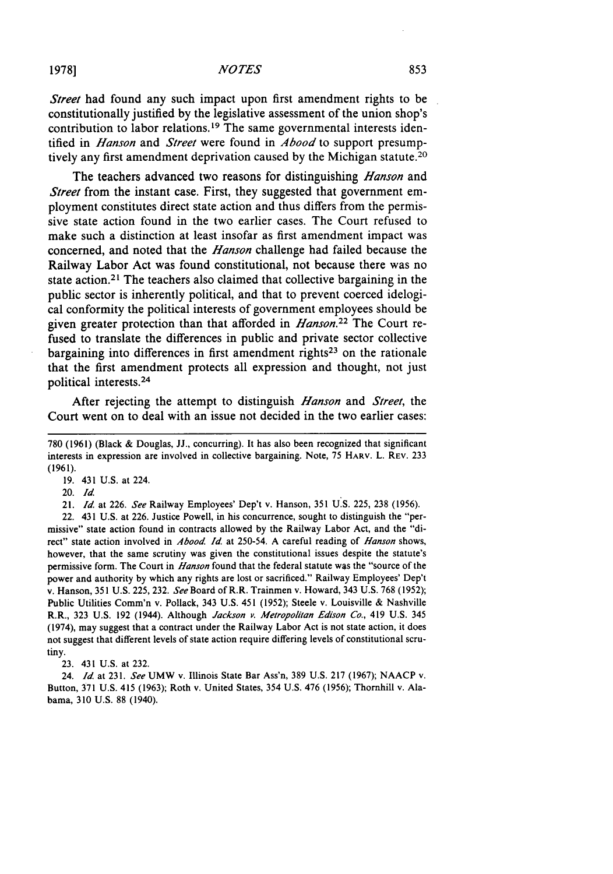*Street* had found any such impact upon first amendment rights to be constitutionally justified by the legislative assessment of the union shop's contribution to labor relations.<sup>19</sup> The same governmental interests identified in *Hanson* and *Street* were found in *Abood* to support presumptively any first amendment deprivation caused **by** the Michigan statute.<sup>20</sup>

The teachers advanced two reasons for distinguishing *Hanson* and *Street* from the instant case. First, they suggested that government employment constitutes direct state action and thus differs from the permissive state action found in the two earlier cases. The Court refused to make such a distinction at least insofar as first amendment impact was concerned, and noted that the *Hanson* challenge had failed because the Railway Labor Act was found constitutional, not because there was no state action.2' The teachers also claimed that collective bargaining in the public sector is inherently political, and that to prevent coerced idelogical conformity the political interests of government employees should be given greater protection than that afforded in *Hanson.22* The Court refused to translate the differences in public and private sector collective bargaining into differences in first amendment rights<sup>23</sup> on the rationale that the first amendment protects all expression and thought, not **just** political interests. <sup>24</sup>

After rejecting the attempt to distinguish *Hanson* and *Street,* the Court went on to deal with an issue not decided in the two earlier cases:

19. 431 U.S. at 224.

20. Id.

21. *Id.* at 226. *See* Railway Employees' Dep't v. Hanson, 351 U.S. 225, 238 (1956).

22. 431 U.S. at 226. Justice Powell, in his concurrence, sought to distinguish the "permissive" state action found in contracts allowed by the Railway Labor Act, and the "direct" state action involved in *Abood Id.* at 250-54. A careful reading of *Hanson* shows, however, that the same scrutiny was given the constitutional issues despite the statute's permissive form. The Court in *Hanson* found that the federal statute **was** the "source of the power and authority by which any rights are lost or sacrificed." Railway Employees' Dep't v. Hanson, 351 U.S. 225, 232. *See* Board of R.R. Trainmen v. Howard, 343 U.S. 768 (1952); Public Utilities Comm'n v. Pollack, 343 U.S. 451 (1952); Steele v. Louisville & Nashville R.R., 323 U.S. 192 (1944). Although Jackson *P. Metropolitan Edison Co.,* 419 U.S. 345 (1974), may suggest that a contract under the Railway Labor Act is not state action, it does not suggest that different levels of state action require differing levels of constitutional scrutiny.

23. 431 U.S. at 232.

24. *Id.* at 231. *See* UMW v. Illinois State Bar Ass'n, 389 U.S. 217 (1967); NAACP v. Button, 371 U.S. 415 (1963); Roth v. United States, 354 U.S. 476 (1956); Thornhill v. Alabama, 310 U.S. 88 (1940).

<sup>780 (1961) (</sup>Black & Douglas, JJ., concurring). It has also been recognized that significant interests in expression are involved in collective bargaining. Note, 75 HARV. L. REV. 233 (1961).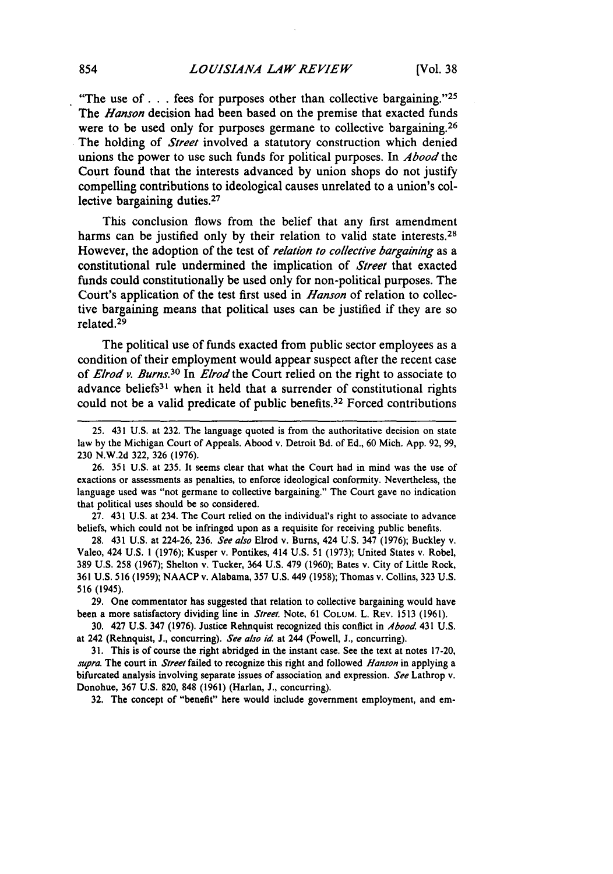"The use of **...** fees for purposes other than collective bargaining. '25 The *Hanson* decision had been based on the premise that exacted funds were to be used only for purposes germane to collective bargaining.<sup>26</sup> The holding of *Street* involved a statutory construction which denied unions the power to use such funds for political purposes. In *Abood* the Court found that the interests advanced by union shops do not justify compelling contributions to ideological causes unrelated to a union's collective bargaining duties.<sup>27</sup>

This conclusion flows from the belief that any first amendment harms can be justified only by their relation to valid state interests.<sup>28</sup> However, the adoption of the test of *relation to collective bargaining* as a constitutional rule undermined the implication of *Street* that exacted funds could constitutionally be used only for non-political purposes. The Court's application of the test first used in *Hanson* of relation to collective bargaining means that political uses can be justified if they are so related.29

The political use of funds exacted from public sector employees as a condition of their employment would appear suspect after the recent case of *Elrod v. Burns.30* In *Elrod the* Court relied on the right to associate to advance beliefs<sup>31</sup> when it held that a surrender of constitutional rights could not be a valid predicate of public benefits.<sup>32</sup> Forced contributions

28. 431 U.S. at 224-26, 236. *See also* Elrod v. Bums, 424 U.S. 347 (1976); Buckley v. Valeo, 424 U.S. **1** (1976); Kusper v. Pontikes, 414 U.S. 51 (1973); United States v. Robel, 389 U.S. 258 (1967); Shelton v. Tucker, 364 U.S. 479 (1960); Bates v. City of Little Rock, 361 U.S. 516 (1959); NAACP v. Alabama, 357 U.S. 449 (1958); Thomas v. Collins, 323 U.S. 516 (1945).

**29.** One commentator has suggested that relation to collective bargaining would have been a more satisfactory dividing line in *Street.* Note, 61 COLUM. L. **REV.** 1513 (1961).

30. 427 U.S. 347 (1976). Justice Rehnquist recognized this conflict in *Abood* 431 U.S. at 242 (Rehnquist, **J.,** concurring). *See also id* at 244 (Powell, **J.,** concurring).

**31.** This is of course the right abridged in the instant case. See the text at notes 17-20, *supra.* The court in *Street* failed to recognize this right and followed *Hanson* in applying a bifurcated analysis involving separate issues of association and expression. *See* Lathrop v. Donohue, **367** U.S. 820, **848** (1961) (Harlan, **J.,** concurring).

32. The concept of "benefit" here would include government employment, and em-

<sup>25. 431</sup> U.S. at 232. The language quoted is from the authoritative decision on state law by the Michigan Court of Appeals. Abood v. Detroit Bd. of Ed., 60 Mich. App. 92, 99, 230 N.W.2d 322, 326 (1976).

**<sup>26. 351</sup> U.S.** at **235.** It seems clear that what the Court had in mind was the use of exactions or assessments as penalties, to enforce ideological conformity. Nevertheless, the language used was "not germane to collective bargaining." The Court gave no indication that political uses should be so considered.

<sup>27. 431</sup> U.S. at 234. The Court relied on the individual's right to associate to advance beliefs, which could not be infringed upon as a requisite for receiving public benefits.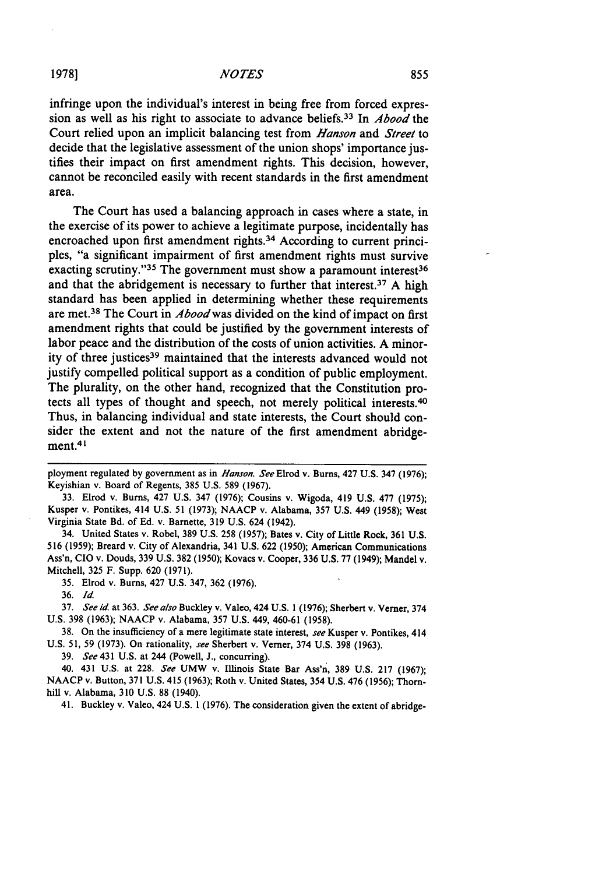infringe upon the individual's interest in being free from forced expression as well as his right to associate to advance beliefs.33 In *Abood* the Court relied upon an implicit balancing test from *Hanson* and *Street* to decide that the legislative assessment of the union shops' importance justifies their impact on first amendment rights. This decision, however, cannot be reconciled easily with recent standards in the first amendment area.

The Court has used a balancing approach in cases where a state, in the exercise of its power to achieve a legitimate purpose, incidentally has encroached upon first amendment rights.<sup>34</sup> According to current principles, "a significant impairment of first amendment rights must survive exacting scrutiny." $35$  The government must show a paramount interest $36$ and that the abridgement is necessary to further that interest.37 **A** high standard has been applied in determining whether these requirements are met.38 The Court in *Aboodwas* divided on the kind of impact on first amendment rights that could be justified **by** the government interests of labor peace and the distribution of the costs of union activities. **A** minority of three justices<sup>39</sup> maintained that the interests advanced would not justify compelled political support as a condition of public employment. The plurality, on the other hand, recognized that the Constitution protects all types of thought and speech, not merely political interests. <sup>40</sup> Thus, in balancing individual and state interests, the Court should consider the extent and not the nature of the first amendment abridgement.4'

**33.** Elrod v. Bums, 427 **U.S.** 347 **(1976);** Cousins v. Wigoda, 419 **U.S. 477 (1975);** Kusper v. Pontikes, 414 **U.S. 51 (1973); NAACP** v. Alabama, **357 U.S.** 449 **(1958);** West Virginia State Bd. of **Ed.** v. Barnette, **319 U.S.** 624 (1942).

34. United States v. Robel, 389 **U.S. 258 (1957);** Bates v. City of Little Rock, **361 U.S. 516 (1959);** Breard v. City of Alexandria, 341 **U.S. 622 (1950);** American Communications Ass'n, **CIO** v. Douds, 339 **U.S. 382 (1950);** Kovacs v. Cooper, 336 **U.S. 77** (1949); Mandel v. Mitchell, **325** F. Supp. **620 (1971).**

**35.** Elrod v. Bums, 427 **U.S.** 347, **362 (1976).**

**36.** *Id*

**37.** *See id* at 363. *See also* Buckley v. Valeo, 424 **U.S. 1 (1976);** Sherbert v. Verner, 374 **U.S.** 398 **(1963); NAACP** v. Alabama, **357 U.S.** 449, 460-61 **(1958).**

**38.** On the insufficiency of a mere legitimate state interest, *see* Kusper v. Pontikes, 414 **U.S. 51,** 59 **(1973).** On rationality, *see* Sherbert v. Verner, 374 **U.S. 398 (1963).**

**39.** *See* 431 **U.S.** at 244 (Powell, **J.,** concurring).

40. 431 **U.S.** at **228.** *See* UMW v. Illinois State Bar Ass'n, **389 U.S. 217 (1967); NAACP** v. Button, **371 U.S.** 415 **(1963);** Roth v. United States, 354 **U.S.** 476 **(1956); Thorn**hill v. Alabama, **310 U.S. 88** (1940).

41. Buckley v. Valeo, 424 **U.S. 1 (1976).** The consideration given the extent of abridge-

ployment regulated **by** government as in *Hanson. See* Elrod v. Burns, 427 **U.S.** 347 **(1976);** Keyishian v. Board of Regents, **385 U.S.** 589 **(1967).**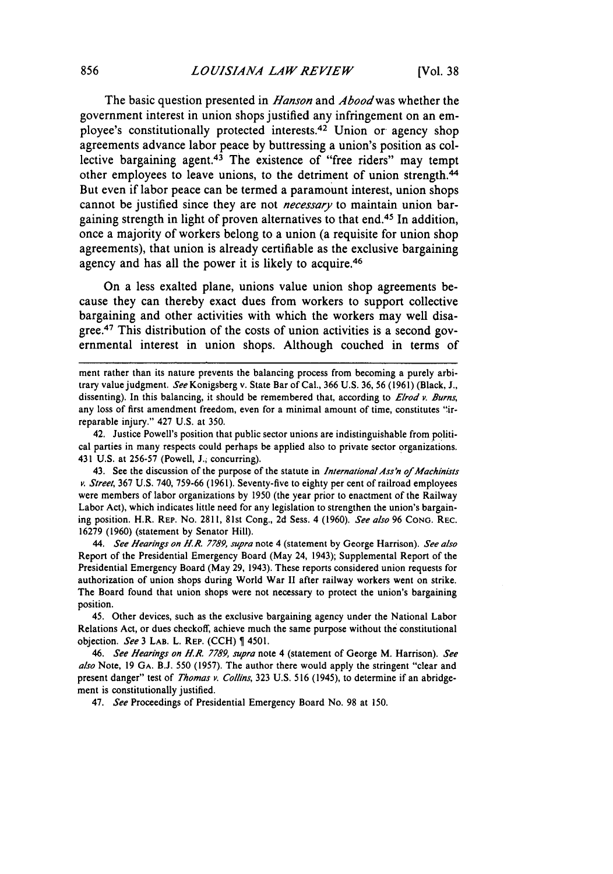The basic question presented in *Hanson* and *Aboodwas* whether the government interest in union shops justified any infringement on an employee's constitutionally protected interests. 42 Union or agency shop agreements advance labor peace **by** buttressing a union's position as collective bargaining agent.<sup>43</sup> The existence of "free riders" may tempt other employees to leave unions, to the detriment of union strength.<sup>44</sup> But even if labor peace can be termed a paramount interest, union shops cannot be justified since they are not *necessary* to maintain union bargaining strength in light of proven alternatives to that end.45 In addition, once a majority of workers belong to a union (a requisite for union shop agreements), that union is already certifiable as the exclusive bargaining agency and has all the power it is likely to acquire. <sup>46</sup>

On a less exalted plane, unions value union shop agreements because they can thereby exact dues from workers to support collective bargaining and other activities with which the workers may **well** disagree.47 This distribution of the costs of union activities is a second governmental interest in union shops. Although couched in terms of

42. Justice Powell's position that public sector unions are indistinguishable from political parties in many respects could perhaps be applied also to private sector organizations. 431 U.S. at 256-57 (Powell, **J.;** concurring).

43. See the discussion of the purpose of the statute in *Internationa/Ass'n of Machinists v. Street,* 367 U.S. 740, 759-66 (1961). Seventy-five to eighty per cent of railroad employees were members of labor organizations by 1950 (the year prior to enactment of the Railway Labor Act), which indicates little need for any legislation to strengthen the union's bargaining position. H.R. **REP.** No. 2811, 81st Cong., 2d Sess. 4 (1960). *See also* 96 **CONo.** REC. 16279 (1960) (statement by Senator Hill).

*44. See Hearings on HR.* 7789, *supra* note 4 (statement by George Harrison). *See also* Report of the Presidential Emergency Board (May 24, 1943); Supplemental Report of the Presidential Emergency Board (May 29, 1943). These reports considered union requests for authorization of union shops during World War II after railway workers went on strike. The Board found that union shops were not necessary to protect the union's bargaining position.

45. Other devices, such as the exclusive bargaining agency under the National Labor Relations Act, or dues checkoff, achieve much the same purpose without the constitutional objection. *See* 3 LAB. L. REP. **(CCH)** 4501.

*46. See Hearings on H.R. 7789, supra* note 4 (statement of George M. Harrison). *See also* Note, 19 GA. B.J. 550 (1957). The author there would apply the stringent "clear and present danger" test of *Thomas v. Collins,* 323 U.S. 516 (1945), to determine if an abridgement is constitutionally justified.

47. *See* Proceedings of Presidential Emergency Board No. 98 at 150.

ment rather than its nature prevents the balancing process from becoming a purely arbitrary value judgment. See Konigsberg v. State Bar of Cal., 366 U.S. 36, 56 (1961) (Black, J., dissenting). In this balancing, it should be remembered that, according to *Elrod v. Burns*, any loss of first amendment freedom, even for a minimal amount of time, constitutes "irreparable injury." 427 U.S. at 350.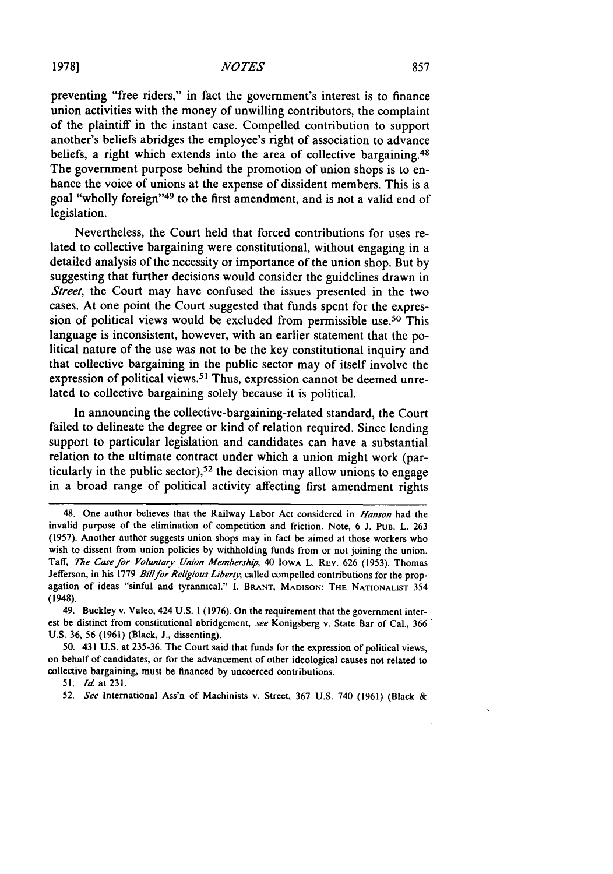preventing "free riders," in fact the government's interest is to finance union activities with the money of unwilling contributors, the complaint of the plaintiff in the instant case. Compelled contribution to support another's beliefs abridges the employee's right of association to advance beliefs, a right which extends into the area of collective bargaining.<sup>48</sup> The government purpose behind the promotion of union shops is to enhance the voice of unions at the expense of dissident members. This is a goal "wholly foreign"<sup>49</sup> to the first amendment, and is not a valid end of legislation.

Nevertheless, the Court held that forced contributions for uses related to collective bargaining were constitutional, without engaging in a detailed analysis of the necessity or importance of the union shop. But by suggesting that further decisions would consider the guidelines drawn in *Street*, the Court may have confused the issues presented in the two cases. At one point the Court suggested that funds spent for the expression of political views would be excluded from permissible use.<sup>50</sup> This language is inconsistent, however, with an earlier statement that the political nature of the use was not to be the key constitutional inquiry and that collective bargaining in the public sector may of itself involve the expression of political views.<sup>51</sup> Thus, expression cannot be deemed unrelated to collective bargaining solely because it is political.

In announcing the collective-bargaining-related standard, the Court failed to delineate the degree or kind of relation required. Since lending support to particular legislation and candidates can have a substantial relation to the ultimate contract under which a union might work (particularly in the public sector),<sup>52</sup> the decision may allow unions to engage in a broad range of political activity affecting first amendment rights

51. *Id* at **231.**

<sup>48.</sup> One author believes that the Railway Labor Act considered in *Hanson* had the invalid purpose of the elimination of competition and friction. Note, 6 J. PuB. L. 263 (1957). Another author suggests union shops may in fact be aimed at those workers who wish to dissent from union policies by withholding funds from or not joining the union. Taff, *The Case for Voluntary Union Membership*, 40 Iowa L. REV. 626 (1953). Thomas Jefferson, in his 1779 Bill for Religious Liberty, called compelled contributions for the propagation of ideas "sinful and tyrannical." I. BRANT, **MADISON:** THE **NATIONALIST** 354 (1948).

<sup>49.</sup> Buckley v. Valeo, 424 U.S. 1 (1976). On the requirement that the government interest be distinct from constitutional abridgement, *see* Konigsberg v. State Bar of Cal., 366 U.S. 36, 56 (1961) (Black, J., dissenting).

<sup>50. 431</sup> U.S. at 235-36. The Court said that funds for the expression of political views, on behalf of candidates, or for the advancement of other ideological causes not related to collective bargaining, must be financed by uncoerced contributions.

<sup>52.</sup> *See* International Ass'n of Machinists v. Street, 367 U.S. 740 (1961) (Black &